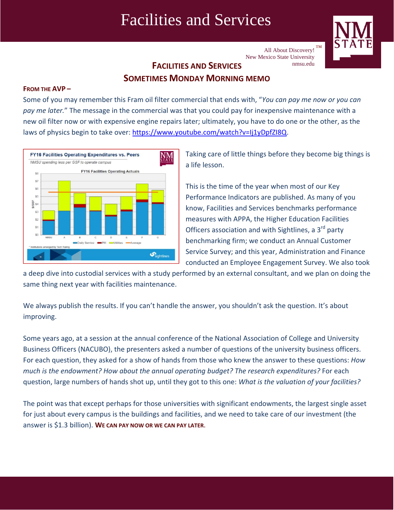# Facilities and Services



All About Discovery!  $TM$ New Mexico State University nmsu.edu

## **FACILITIES AND SERVICES**

### **SOMETIMES MONDAY MORNING MEMO**

#### **FROM THE AVP –**

Some of you may remember this Fram oil filter commercial that ends with, "*You can pay me now or you can pay me later.*" The message in the commercial was that you could pay for inexpensive maintenance with a new oil filter now or with expensive engine repairs later; ultimately, you have to do one or the other, as the laws of physics begin to take over: https://www.youtube.com/watch?v=Ij1yDpfZI8Q.



Taking care of little things before they become big things is a life lesson.

This is the time of the year when most of our Key Performance Indicators are published. As many of you know, Facilities and Services benchmarks performance measures with APPA, the Higher Education Facilities Officers association and with Sightlines, a  $3<sup>rd</sup>$  party benchmarking firm; we conduct an Annual Customer Service Survey; and this year, Administration and Finance conducted an Employee Engagement Survey. We also took

a deep dive into custodial services with a study performed by an external consultant, and we plan on doing the same thing next year with facilities maintenance.

We always publish the results. If you can't handle the answer, you shouldn't ask the question. It's about improving.

Some years ago, at a session at the annual conference of the National Association of College and University Business Officers (NACUBO), the presenters asked a number of questions of the university business officers. For each question, they asked for a show of hands from those who knew the answer to these questions: *How much is the endowment? How about the annual operating budget? The research expenditures?* For each question, large numbers of hands shot up, until they got to this one: *What is the valuation of your facilities?*

The point was that except perhaps for those universities with significant endowments, the largest single asset for just about every campus is the buildings and facilities, and we need to take care of our investment (the answer is \$1.3 billion). **WE CAN PAY NOW OR WE CAN PAY LATER**.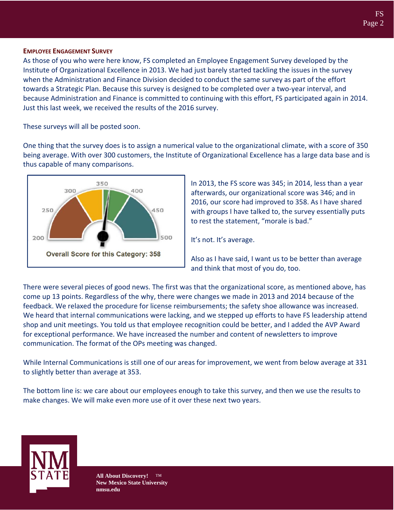#### **EMPLOYEE ENGAGEMENT SURVEY**

As those of you who were here know, FS completed an Employee Engagement Survey developed by the Institute of Organizational Excellence in 2013. We had just barely started tackling the issues in the survey when the Administration and Finance Division decided to conduct the same survey as part of the effort towards a Strategic Plan. Because this survey is designed to be completed over a two-year interval, and because Administration and Finance is committed to continuing with this effort, FS participated again in 2014. Just this last week, we received the results of the 2016 survey.

These surveys will all be posted soon.

One thing that the survey does is to assign a numerical value to the organizational climate, with a score of 350 being average. With over 300 customers, the Institute of Organizational Excellence has a large data base and is thus capable of many comparisons.



In 2013, the FS score was 345; in 2014, less than a year afterwards, our organizational score was 346; and in 2016, our score had improved to 358. As I have shared with groups I have talked to, the survey essentially puts to rest the statement, "morale is bad."

It's not. It's average.

Also as I have said, I want us to be better than average and think that most of you do, too.

There were several pieces of good news. The first was that the organizational score, as mentioned above, has come up 13 points. Regardless of the why, there were changes we made in 2013 and 2014 because of the feedback. We relaxed the procedure for license reimbursements; the safety shoe allowance was increased. We heard that internal communications were lacking, and we stepped up efforts to have FS leadership attend shop and unit meetings. You told us that employee recognition could be better, and I added the AVP Award for exceptional performance. We have increased the number and content of newsletters to improve communication. The format of the OPs meeting was changed.

While Internal Communications is still one of our areas for improvement, we went from below average at 331 to slightly better than average at 353.

The bottom line is: we care about our employees enough to take this survey, and then we use the results to make changes. We will make even more use of it over these next two years.

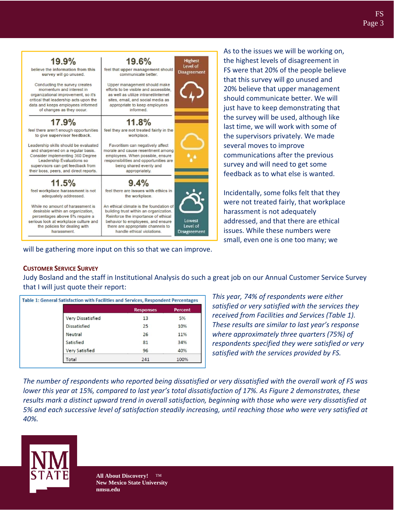| 19.9%<br>believe the information from this<br>survey will go unused.<br>Conducting the survey creates<br>momentum and interest in<br>organizational improvement, so it's<br>critical that leadership acts upon the<br>data and keeps employees informed<br>of changes as they occur.                          | 19.6%<br>feel that upper management should<br>communicate better.<br>Upper management should make<br>efforts to be visible and accessible.<br>as well as utilize intranet/internet<br>sites, email, and social media as<br>appropriate to keep employees<br>informed.                              | <b>Highest</b><br>Level of<br><b>Disagreement</b> |
|---------------------------------------------------------------------------------------------------------------------------------------------------------------------------------------------------------------------------------------------------------------------------------------------------------------|----------------------------------------------------------------------------------------------------------------------------------------------------------------------------------------------------------------------------------------------------------------------------------------------------|---------------------------------------------------|
| 17.9%<br>feel there aren't enough opportunities<br>to give supervisor feedback.<br>Leadership skills should be evaluated<br>and sharpened on a regular basis.<br>Consider implementing 360 Degree<br>Leadership Evaluations so<br>supervisors can get feedback from<br>their boss, peers, and direct reports. | 11.8%<br>feel they are not treated fairly in the<br>workplace.<br>Favoritism can negatively affect<br>morale and cause resentment among<br>employees. When possible, ensure<br>responsibilities and opportunities are<br>being shared evenly and<br>appropriately.                                 |                                                   |
| 11.5%<br>feel workplace harassment is not<br>adequately addressed.<br>While no amount of harassment is<br>desirable within an organization.<br>percentages above 5% require a<br>serious look at workplace culture and<br>the policies for dealing with<br>harassment.                                        | 9.4%<br>feel there are issues with ethics in<br>the workplace.<br>An ethical climate is the foundation of<br>building trust within an organization.<br>Reinforce the importance of ethical<br>behavior to employees, and ensure<br>there are appropriate channels to<br>handle ethical violations. | Lowest<br>Level of<br>Disagreement                |

As to the issues we will be working on, the highest levels of disagreement in FS were that 20% of the people believe that this survey will go unused and 20% believe that upper management should communicate better. We will just have to keep demonstrating that the survey will be used, although like last time, we will work with some of the supervisors privately. We made several moves to improve communications after the previous survey and will need to get some feedback as to what else is wanted.

Incidentally, some folks felt that they were not treated fairly, that workplace harassment is not adequately addressed, and that there are ethical issues. While these numbers were small, even one is one too many; we

will be gathering more input on this so that we can improve.

#### **CUSTOMER SERVICE SURVEY**

Judy Bosland and the staff in Institutional Analysis do such a great job on our Annual Customer Service Survey that I will just quote their report:

|                          | <b>Responses</b> | <b>Percent</b> |
|--------------------------|------------------|----------------|
| <b>Very Dissatisfied</b> | 13               | 5%             |
| <b>Dissatisfied</b>      | 25               | 10%            |
| Neutral                  | 26               | 11%            |
| Satisfied                | 81               | 34%            |
| <b>Very Satisfied</b>    | 96               | 40%            |
| Total                    | 241              | 100%           |

*This year, 74% of respondents were either satisfied or very satisfied with the services they received from Facilities and Services (Table 1). These results are similar to last year's response where approximately three quarters (75%) of respondents specified they were satisfied or very satisfied with the services provided by FS.* 

The number of respondents who reported being dissatisfied or very dissatisfied with the overall work of FS was lower this year at 15%, compared to last year's total dissatisfaction of 17%. As Figure 2 demonstrates, these results mark a distinct upward trend in overall satisfaction, beginning with those who were very dissatisfied at 5% and each successive level of satisfaction steadily increasing, until reaching those who were very satisfied at *40%.*

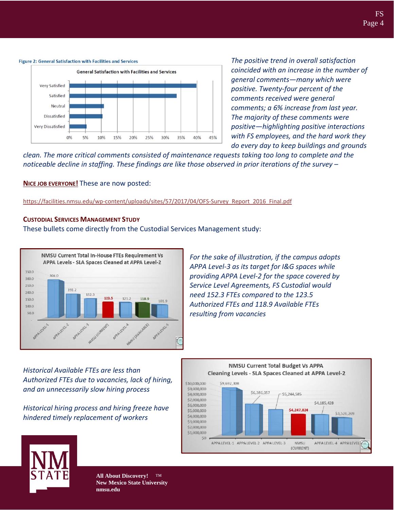**FS** Page 4



*The positive trend in overall satisfaction coincided with an increase in the number of general comments—many which were positive. Twenty‐four percent of the comments received were general comments; a 6% increase from last year. The majority of these comments were positive—highlighting positive interactions with FS employees, and the hard work they do every day to keep buildings and grounds*

*clean. The more critical comments consisted of maintenance requests taking too long to complete and the* noticeable decline in staffing. These findings are like those observed in prior iterations of the survey –

**NICE JOB EVERYONE!** These are now posted:

https://facilities.nmsu.edu/wp-[content/uploads/sites/57/2017/04/OFS](https://facilities.nmsu.edu/wp-content/uploads/sites/57/2017/04/OFS-Survey_Report_2016_Final.pdf)-Survey\_Report\_2016\_Final.pdf

#### **CUSTODIAL SERVICES MANAGEMENT STUDY**

These bullets come directly from the Custodial Services Management study:



*For the sake of illustration, if the campus adopts APPA Level‐3 as its target for I&G spaces while providing APPA Level‐2 for the space covered by Service Level Agreements, FS Custodial would need 152.3 FTEs compared to the 123.5 Authorized FTEs and 118.9 Available FTEs resulting from vacancies* 

*Historical Available FTEs are less than Authorized FTEs due to vacancies, lack of hiring, and an unnecessarily slow hiring process*

*Historical hiring process and hiring freeze have hindered timely replacement of workers*



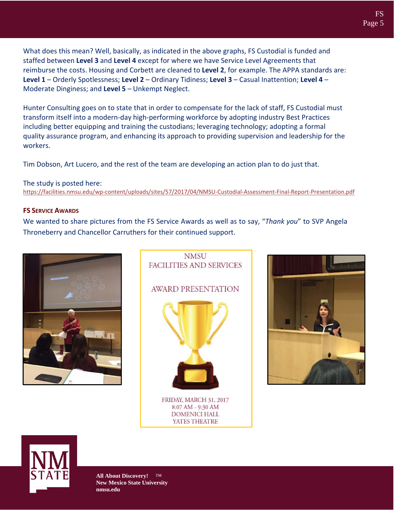What does this mean? Well, basically, as indicated in the above graphs, FS Custodial is funded and staffed between **Level 3** and **Level 4** except for where we have Service Level Agreements that reimburse the costs. Housing and Corbett are cleaned to **Level 2**, for example. The APPA standards are: **Level 1** – Orderly Spotlessness; **Level 2** – Ordinary Tidiness; **Level 3** – Casual Inattention; **Level 4** – Moderate Dinginess; and **Level 5** – Unkempt Neglect.

Hunter Consulting goes on to state that in order to compensate for the lack of staff, FS Custodial must transform itself into a modern‐day high‐performing workforce by adopting industry Best Practices including better equipping and training the custodians; leveraging technology; adopting a formal quality assurance program, and enhancing its approach to providing supervision and leadership for the workers.

Tim Dobson, Art Lucero, and the rest of the team are developing an action plan to do just that.

#### The study is posted here:

https://facilities.nmsu.edu/wp‐[content/uploads/sites/57/2017/04/NMSU](https://facilities.nmsu.edu/wp-content/uploads/sites/57/2017/04/NMSU-Custodial-Assessment-Final-Report-Presentation.pdf)‐Custodial‐Assessment‐Final‐Report‐Presentation.pdf

#### **FS SERVICE AWARDS**

We wanted to share pictures from the FS Service Awards as well as to say, "*Thank you*" to SVP Angela Throneberry and Chancellor Carruthers for their continued support.





8:07 AM - 9:30 AM **DOMENICI HALL** YATES THEATRE



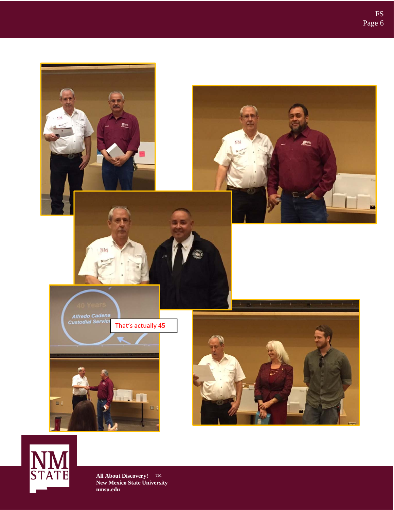

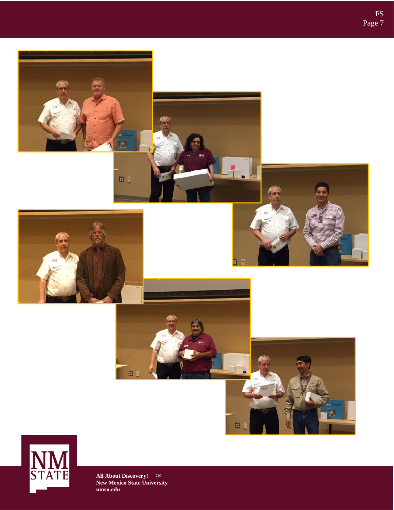

田目









**All About Discovery! New Mexico State University nmsu.edu** ™

田目